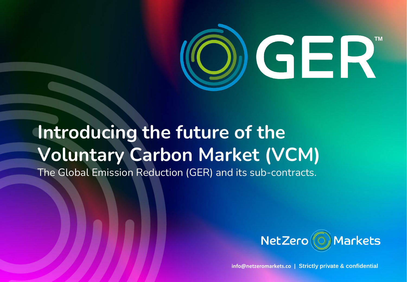

# **Introducing the future of the Voluntary Carbon Market (VCM)**

The Global Emission Reduction (GER) and its sub-contracts.



**info@netzeromarkets.co | Strictly private & confidential**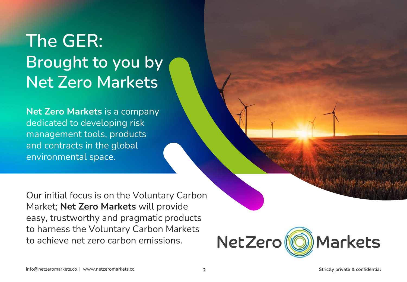## **The GER: Brought to you by Net Zero Markets**

**Net Zero Markets** is a company dedicated to developing risk management tools, products and contracts in the global environmental space.

Our initial focus is on the Voluntary Carbon Market; **Net Zero Markets** will provide easy, trustworthy and pragmatic products to harness the Voluntary Carbon Markets to achieve net zero carbon emissions.

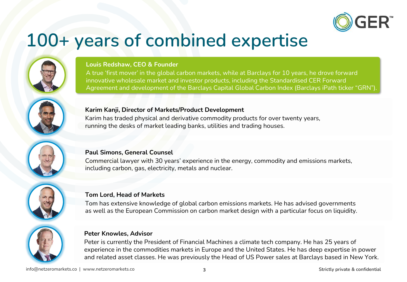

### **100+ years of combined expertise**



#### **Louis Redshaw, CEO & Founder**

A true 'first mover' in the global carbon markets, while at Barclays for 10 years, he drove forward innovative wholesale market and investor products, including the Standardised CER Forward Agreement and development of the Barclays Capital Global Carbon Index (Barclays iPath ticker "GRN").



#### **Karim Kanji, Director of Markets/Product Development**

Karim has traded physical and derivative commodity products for over twenty years, running the desks of market leading banks, utilities and trading houses.



#### **Paul Simons, General Counsel**

Commercial lawyer with 30 years' experience in the energy, commodity and emissions markets, including carbon, gas, electricity, metals and nuclear.



#### **Tom Lord, Head of Markets**

Tom has extensive knowledge of global carbon emissions markets. He has advised governments as well as the European Commission on carbon market design with a particular focus on liquidity.



#### **Peter Knowles, Advisor**

Peter is currently the President of Financial Machines a climate tech company. He has 25 years of experience in the commodities markets in Europe and the United States. He has deep expertise in power and related asset classes. He was previously the Head of US Power sales at Barclays based in New York.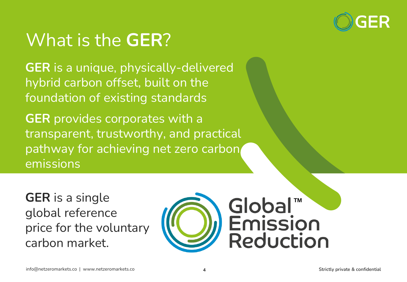

## What is the **GER**?

**GER** is a unique, physically-delivered hybrid carbon offset, built on the foundation of existing standards

**GER** provides corporates with a transparent, trustworthy, and practical pathway for achieving net zero carbon emissions

**GER** is a single global reference price for the voluntary carbon market.

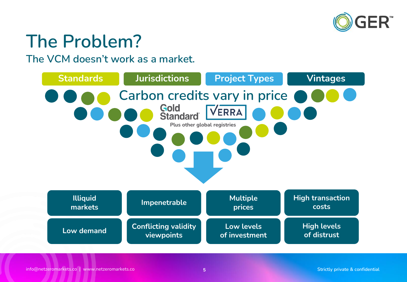

## **The Problem?**

**The VCM doesn't work as a market.**

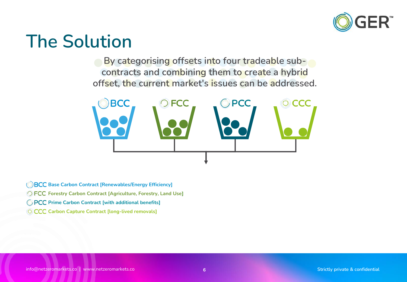

### **The Solution**

**By categorising offsets into four tradeable subcontracts and combining them to create a hybrid offset, the current market's issues can be addressed.**



**BCC** Base Carbon Contract [Renewables/Energy Efficiency]

**Forestry Carbon Contract [Agriculture, Forestry, Land Use]**

**PCC** Prime Carbon Contract [with additional benefits]

**CCC** Carbon Capture Contract [long-lived removals]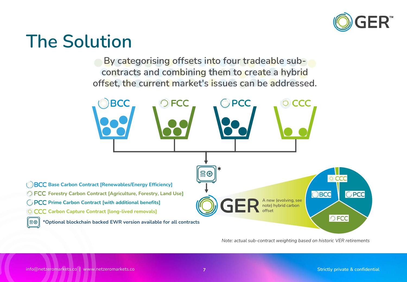

### **The Solution**

**By categorising offsets into four tradeable subcontracts and combining them to create a hybrid offset, the current market's issues can be addressed.**



*Note: actual sub-contract weighting based on historic VER retirements*

|ူ ⊚|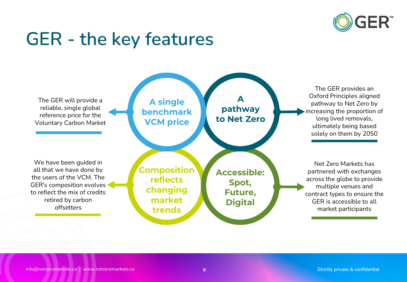

### **GER - the key features**

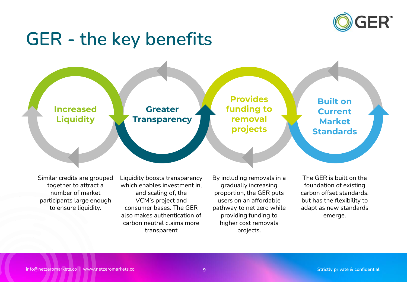

#### **GER - the key benefits**



Similar credits are grouped together to attract a number of market participants large enough to ensure liquidity.

Liquidity boosts transparency which enables investment in, and scaling of, the VCM's project and consumer bases. The GER also makes authentication of carbon neutral claims more transparent

By including removals in a gradually increasing proportion, the GER puts users on an affordable pathway to net zero while providing funding to higher cost removals projects.

The GER is built on the foundation of existing carbon offset standards, but has the flexibility to adapt as new standards emerge.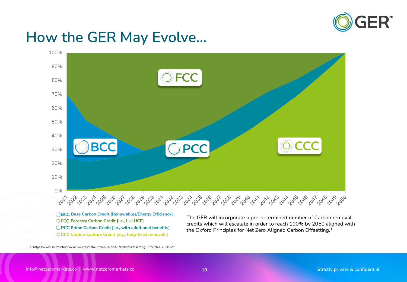

#### **How the GER May Evolve…**



**Forestry Carbon Credit [i.e., LULUCF]** *O* **PCC Prime Carbon Credit [i.e., with additional benefits] Carbon Capture Credit [e.g., long-lived removals]**

The GER will incorporate a pre-determined number of Carbon removal credits which will escalate in order to reach 100% by 2050 aligned with the Oxford Principles for Net Zero Aligned Carbon Offsetting.<sup>1</sup>

1: https://www.smithschool.ox.ac.uk/sites/default/files/2022-01/Oxford-Offsetting-Principles-2020.pdf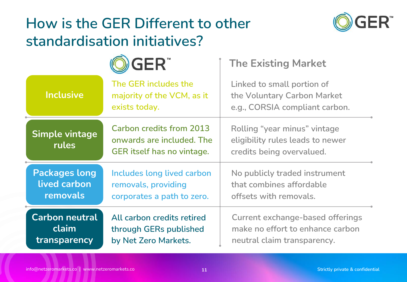#### How is the GER Different to other **CO GER standardisation initiatives?**



- 1

|      | <b>OGER</b>                | <b>Th</b> |
|------|----------------------------|-----------|
|      | The GER includes the       | Linl      |
| sive | majority of the VCM, as it | the       |
|      |                            |           |

#### **TM The Existing Market**

| The GER includes the              | Linked to small portion of       |  |
|-----------------------------------|----------------------------------|--|
| majority of the VCM, as it        | the Voluntary Carbon Market      |  |
| exists today.                     | e.g., CORSIA compliant carbon.   |  |
| <b>Carbon credits from 2013</b>   | Rolling "year minus" vintage     |  |
| onwards are included. The         | eligibility rules leads to newer |  |
| <b>GER</b> itself has no vintage. | credits being overvalued.        |  |

| <b>Packages long</b> | Includes long lived carbon | No publicly traded instrument |
|----------------------|----------------------------|-------------------------------|
| lived carbon         | removals, providing        | that combines affordable      |
| removals             | corporates a path to zero. | offsets with removals.        |
|                      |                            |                               |

| <b>Carbon neutral</b> | All carbon credits retired | Current exchange-based offerings |
|-----------------------|----------------------------|----------------------------------|
| claim <i>I</i>        | through GERs published     | make no effort to enhance carbon |
| transparency          | by Net Zero Markets.       | neutral claim transparency.      |

**Inclu** 

**Simple vintage** 

**rules**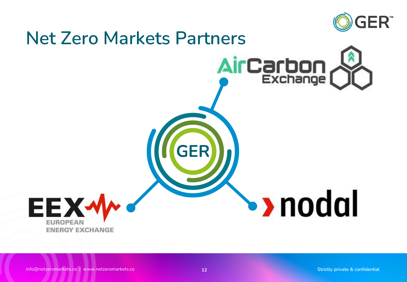

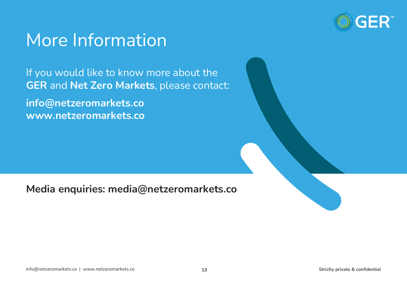

### More Information

If you would like to know more about the **GER** and **Net Zero Markets**, please contact:

**info@netzeromarkets.co www.netzeromarkets.co**

**Media enquiries: media@netzeromarkets.co**